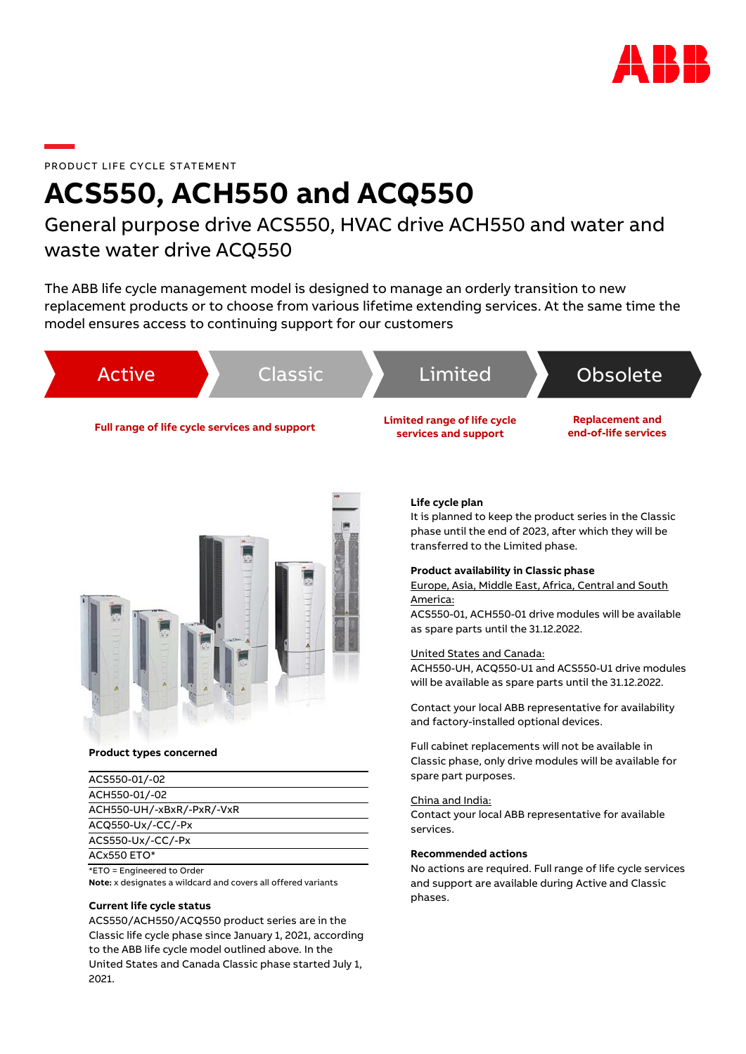

# PRODUCT LIFE CYCLE STATEMENT

# **ACS550, ACH550 and ACQ550**

# General purpose drive ACS550, HVAC drive ACH550 and water and waste water drive ACQ550

The ABB life cycle management model is designed to manage an orderly transition to new replacement products or to choose from various lifetime extending services. At the same time the model ensures access to continuing support for our customers



It is planned to keep the product series in the Classic phase until the end of 2023, after which they will be transferred to the Limited phase.

# **Product availability in Classic phase**

Europe, Asia, Middle East, Africa, Central and South America:

ACS550-01, ACH550-01 drive modules will be available as spare parts until the 31.12.2022.

### United States and Canada:

ACH550-UH, ACQ550-U1 and ACS550-U1 drive modules will be available as spare parts until the 31.12.2022.

Contact your local ABB representative for availability and factory-installed optional devices.

Full cabinet replacements will not be available in Classic phase, only drive modules will be available for spare part purposes.

#### China and India:

Contact your local ABB representative for available services.

#### **Recommended actions**

No actions are required. Full range of life cycle services and support are available during Active and Classic phases.

#### **Product types concerned**

| ACS550-01/-02              |
|----------------------------|
| ACH550-01/-02              |
| ACH550-UH/-xBxR/-PxR/-VxR  |
| ACQ550-Ux/-CC/-Px          |
| ACS550-Ux/-CC/-Px          |
| <b>ACx550 ETO*</b>         |
| *ETO = Engineered to Order |

**Note:** x designates a wildcard and covers all offered variants

# **Current life cycle status**

ACS550/ACH550/ACQ550 product series are in the Classic life cycle phase since January 1, 2021, according to the ABB life cycle model outlined above. In the United States and Canada Classic phase started July 1, 2021.